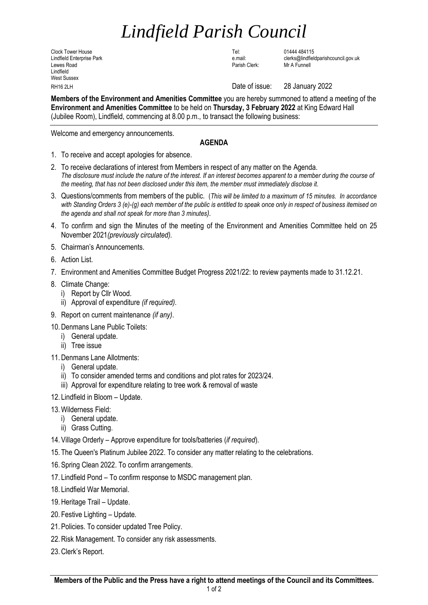## *Lindfield Parish Council*

Clock Tower House Tel: 01444 484115 Lewes Road Parish Clerk: Mr A Funnell Lindfield West Sussex

Lindfield Enterprise Park e.mail: clerks@lindfieldparishcouncil.gov.uk

RH16 2LH Date of issue: 28 January 2022

**Members of the Environment and Amenities Committee** you are hereby summoned to attend a meeting of the **Environment and Amenities Committee** to be held on **Thursday, 3 February 2022** at King Edward Hall (Jubilee Room), Lindfield, commencing at 8.00 p.m., to transact the following business:

Welcome and emergency announcements.

## **AGENDA**

- 1. To receive and accept apologies for absence.
- 2. To receive declarations of interest from Members in respect of any matter on the Agenda. *The disclosure must include the nature of the interest. If an interest becomes apparent to a member during the course of the meeting, that has not been disclosed under this item, the member must immediately disclose it.*
- 3. Questions/comments from members of the public. (*This will be limited to a maximum of 15 minutes. In accordance with Standing Orders 3 (e)-(g) each member of the public is entitled to speak once only in respect of business itemised on the agenda and shall not speak for more than 3 minutes).*
- 4. To confirm and sign the Minutes of the meeting of the Environment and Amenities Committee held on 25 November 2021*(previously circulated).*
- 5. Chairman's Announcements.
- 6. Action List.
- 7. Environment and Amenities Committee Budget Progress 2021/22: to review payments made to 31.12.21.
- 8. Climate Change:
	- i) Report by Cllr Wood.
	- ii) Approval of expenditure *(if required)*.
- 9. Report on current maintenance *(if any)*.
- 10.Denmans Lane Public Toilets:
	- i) General update.
	- ii) Tree issue
- 11.Denmans Lane Allotments:
	- i) General update.
	- ii) To consider amended terms and conditions and plot rates for 2023/24.
	- iii) Approval for expenditure relating to tree work & removal of waste
- 12. Lindfield in Bloom Update.
- 13.Wilderness Field:
	- i) General update.
	- ii) Grass Cutting.
- 14. Village Orderly Approve expenditure for tools/batteries (*if required*).
- 15. The Queen's Platinum Jubilee 2022. To consider any matter relating to the celebrations.
- 16. Spring Clean 2022. To confirm arrangements.
- 17. Lindfield Pond To confirm response to MSDC management plan.
- 18. Lindfield War Memorial.
- 19.Heritage Trail Update.
- 20. Festive Lighting Update.
- 21. Policies. To consider updated Tree Policy.
- 22.Risk Management. To consider any risk assessments.
- 23.Clerk's Report.